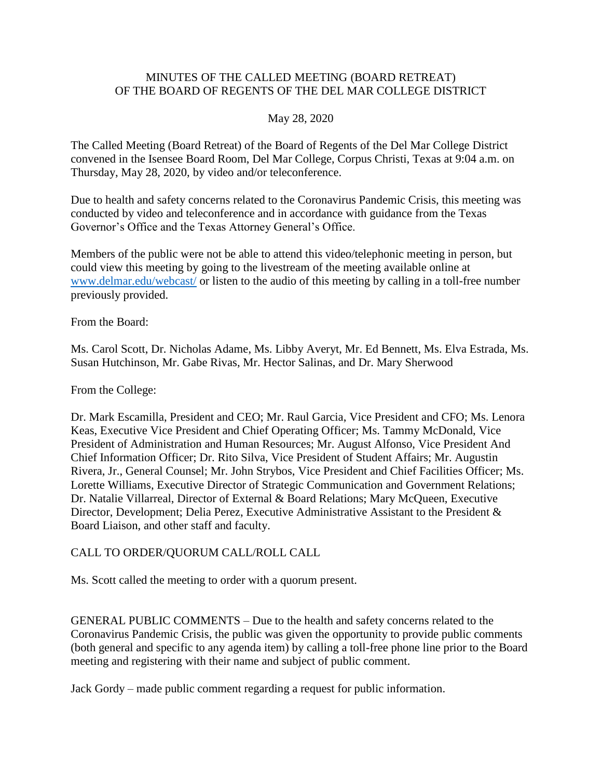## MINUTES OF THE CALLED MEETING (BOARD RETREAT) OF THE BOARD OF REGENTS OF THE DEL MAR COLLEGE DISTRICT

## May 28, 2020

The Called Meeting (Board Retreat) of the Board of Regents of the Del Mar College District convened in the Isensee Board Room, Del Mar College, Corpus Christi, Texas at 9:04 a.m. on Thursday, May 28, 2020, by video and/or teleconference.

Due to health and safety concerns related to the Coronavirus Pandemic Crisis, this meeting was conducted by video and teleconference and in accordance with guidance from the Texas Governor's Office and the Texas Attorney General's Office.

 could view this meeting by going to the livestream of the meeting available online at Members of the public were not be able to attend this video/telephonic meeting in person, but [www.delmar.edu/webcast/](http://www.delmar.edu/webcast/) or listen to the audio of this meeting by calling in a toll-free number previously provided.

From the Board:

Ms. Carol Scott, Dr. Nicholas Adame, Ms. Libby Averyt, Mr. Ed Bennett, Ms. Elva Estrada, Ms. Susan Hutchinson, Mr. Gabe Rivas, Mr. Hector Salinas, and Dr. Mary Sherwood

From the College:

Dr. Mark Escamilla, President and CEO; Mr. Raul Garcia, Vice President and CFO; Ms. Lenora Keas, Executive Vice President and Chief Operating Officer; Ms. Tammy McDonald, Vice President of Administration and Human Resources; Mr. August Alfonso, Vice President And Chief Information Officer; Dr. Rito Silva, Vice President of Student Affairs; Mr. Augustin Rivera, Jr., General Counsel; Mr. John Strybos, Vice President and Chief Facilities Officer; Ms. Lorette Williams, Executive Director of Strategic Communication and Government Relations; Dr. Natalie Villarreal, Director of External & Board Relations; Mary McQueen, Executive Director, Development; Delia Perez, Executive Administrative Assistant to the President & Board Liaison, and other staff and faculty.

## CALL TO ORDER/QUORUM CALL/ROLL CALL

Ms. Scott called the meeting to order with a quorum present.

 (both general and specific to any agenda item) by calling a toll-free phone line prior to the Board GENERAL PUBLIC COMMENTS – Due to the health and safety concerns related to the Coronavirus Pandemic Crisis, the public was given the opportunity to provide public comments meeting and registering with their name and subject of public comment.

Jack Gordy – made public comment regarding a request for public information.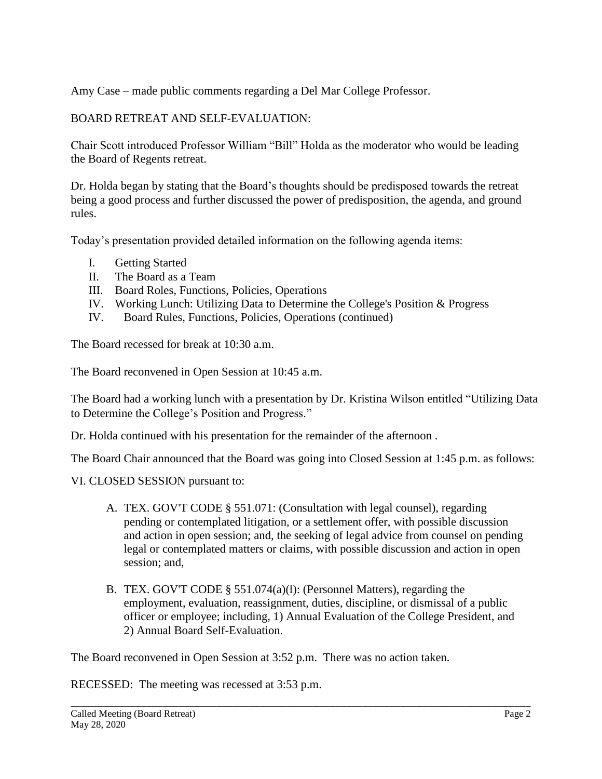Amy Case – made public comments regarding a Del Mar College Professor.

BOARD RETREAT AND SELF-EVALUATION:

Chair Scott introduced Professor William "Bill" Holda as the moderator who would be leading the Board of Regents retreat.

Dr. Holda began by stating that the Board's thoughts should be predisposed towards the retreat being a good process and further discussed the power of predisposition, the agenda, and ground rules.

Today's presentation provided detailed information on the following agenda items:

- I. Getting Started
- II. The Board as a Team
- III. Board Roles, Functions, Policies, Operations
- IV. Working Lunch: Utilizing Data to Determine the College's Position & Progress
- IV. Board Rules, Functions, Policies, Operations (continued)

The Board recessed for break at 10:30 a.m.

The Board reconvened in Open Session at 10:45 a.m.

The Board had a working lunch with a presentation by Dr. Kristina Wilson entitled "Utilizing Data to Determine the College's Position and Progress."

Dr. Holda continued with his presentation for the remainder of the afternoon .

The Board Chair announced that the Board was going into Closed Session at 1:45 p.m. as follows:

## VI. CLOSED SESSION pursuant to:

- A. TEX. GOV'T CODE § 551.071: (Consultation with legal counsel), regarding pending or contemplated litigation, or a settlement offer, with possible discussion and action in open session; and, the seeking of legal advice from counsel on pending legal or contemplated matters or claims, with possible discussion and action in open session; and,
- B. TEX. GOV'T CODE § 551.074(a)(l): (Personnel Matters), regarding the employment, evaluation, reassignment, duties, discipline, or dismissal of a public officer or employee; including, 1) Annual Evaluation of the College President, and 2) Annual Board Self-Evaluation.

\_\_\_\_\_\_\_\_\_\_\_\_\_\_\_\_\_\_\_\_\_\_\_\_\_\_\_\_\_\_\_\_\_\_\_\_\_\_\_\_\_\_\_\_\_\_\_\_\_\_\_\_\_\_\_\_\_\_\_\_\_\_\_\_\_\_\_\_\_\_\_\_\_\_\_\_\_\_\_\_\_\_\_\_\_

The Board reconvened in Open Session at 3:52 p.m. There was no action taken.

RECESSED: The meeting was recessed at 3:53 p.m.